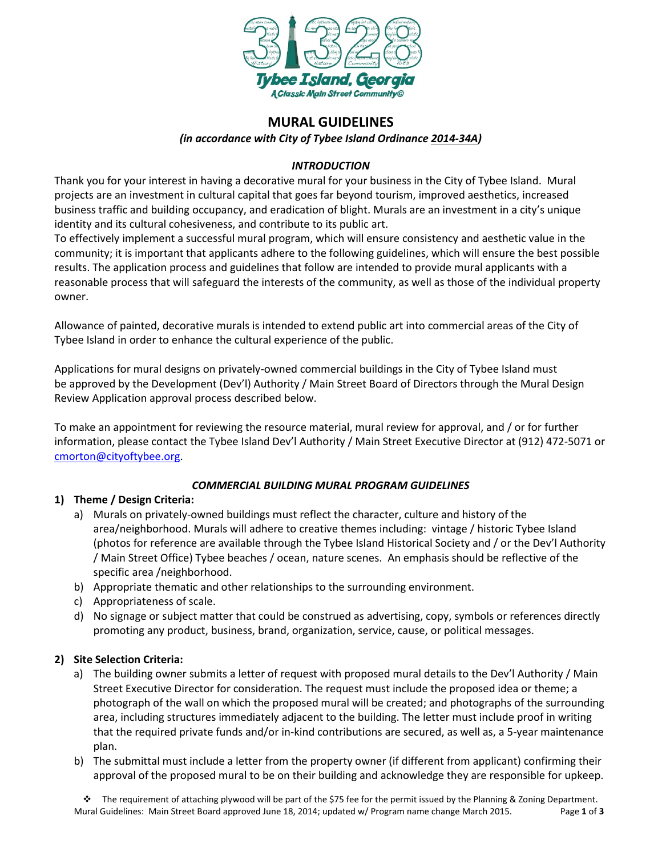

# **MURAL GUIDELINES**

*(in accordance with City of Tybee Island Ordinance [2014-34A\)](http://www.cityoftybee.org/Assets/Files/Ordinances/2014/Clk_2014-34a.pdf)*

# *INTRODUCTION*

Thank you for your interest in having a decorative mural for your business in the City of Tybee Island. Mural projects are an investment in cultural capital that goes far beyond tourism, improved aesthetics, increased business traffic and building occupancy, and eradication of blight. Murals are an investment in a city's unique identity and its cultural cohesiveness, and contribute to its public art.

To effectively implement a successful mural program, which will ensure consistency and aesthetic value in the community; it is important that applicants adhere to the following guidelines, which will ensure the best possible results. The application process and guidelines that follow are intended to provide mural applicants with a reasonable process that will safeguard the interests of the community, as well as those of the individual property owner.

Allowance of painted, decorative murals is intended to extend public art into commercial areas of the City of Tybee Island in order to enhance the cultural experience of the public.

Applications for mural designs on privately-owned commercial buildings in the City of Tybee Island must be approved by the Development (Dev'l) Authority / Main Street Board of Directors through the Mural Design Review Application approval process described below.

To make an appointment for reviewing the resource material, mural review for approval, and / or for further information, please contact the Tybee Island Dev'l Authority / Main Street Executive Director at (912) 472-5071 or [cmorton@cityoftybee.org.](mailto:cmorton@cityoftybee.org)

### *COMMERCIAL BUILDING MURAL PROGRAM GUIDELINES*

### **1) Theme / Design Criteria:**

- a) Murals on privately-owned buildings must reflect the character, culture and history of the area/neighborhood. Murals will adhere to creative themes including: vintage / historic Tybee Island (photos for reference are available through the Tybee Island Historical Society and / or the Dev'l Authority / Main Street Office) Tybee beaches / ocean, nature scenes. An emphasis should be reflective of the specific area /neighborhood.
- b) Appropriate thematic and other relationships to the surrounding environment.
- c) Appropriateness of scale.
- d) No signage or subject matter that could be construed as advertising, copy, symbols or references directly promoting any product, business, brand, organization, service, cause, or political messages.

# **2) Site Selection Criteria:**

- a) The building owner submits a letter of request with proposed mural details to the Dev'l Authority / Main Street Executive Director for consideration. The request must include the proposed idea or theme; a photograph of the wall on which the proposed mural will be created; and photographs of the surrounding area, including structures immediately adjacent to the building. The letter must include proof in writing that the required private funds and/or in-kind contributions are secured, as well as, a 5-year maintenance plan.
- b) The submittal must include a letter from the property owner (if different from applicant) confirming their approval of the proposed mural to be on their building and acknowledge they are responsible for upkeep.

The requirement of attaching plywood will be part of the \$75 fee for the permit issued by the Planning & Zoning Department. Mural Guidelines: Main Street Board approved June 18, 2014; updated w/ Program name change March 2015. Page **1** of **3**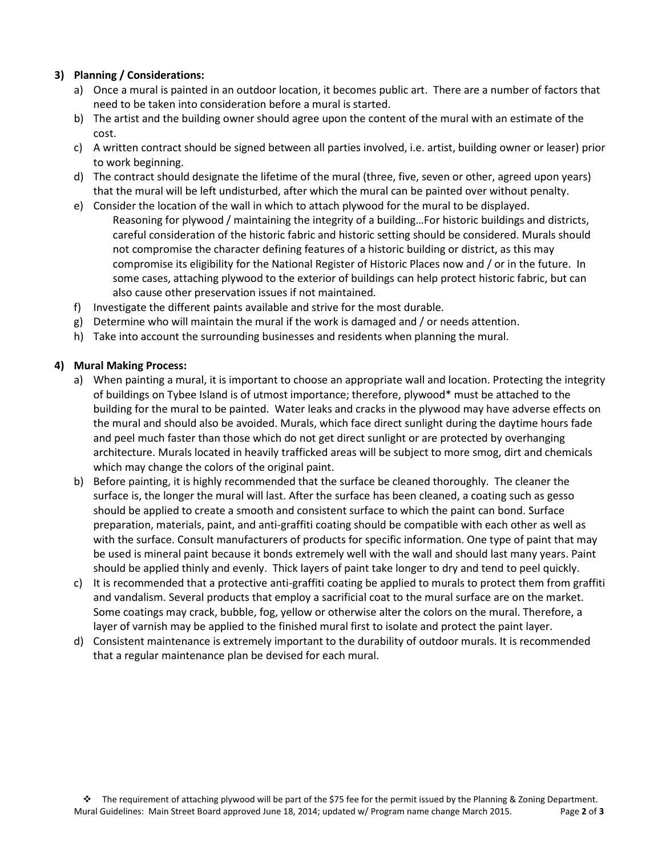### **3) Planning / Considerations:**

- a) Once a mural is painted in an outdoor location, it becomes public art. There are a number of factors that need to be taken into consideration before a mural is started.
- b) The artist and the building owner should agree upon the content of the mural with an estimate of the cost.
- c) A written contract should be signed between all parties involved, i.e. artist, building owner or leaser) prior to work beginning.
- d) The contract should designate the lifetime of the mural (three, five, seven or other, agreed upon years) that the mural will be left undisturbed, after which the mural can be painted over without penalty.
- e) Consider the location of the wall in which to attach plywood for the mural to be displayed. Reasoning for plywood / maintaining the integrity of a building…For historic buildings and districts, careful consideration of the historic fabric and historic setting should be considered. Murals should not compromise the character defining features of a historic building or district, as this may compromise its eligibility for the National Register of Historic Places now and / or in the future. In some cases, attaching plywood to the exterior of buildings can help protect historic fabric, but can also cause other preservation issues if not maintained.
- f) Investigate the different paints available and strive for the most durable.
- g) Determine who will maintain the mural if the work is damaged and / or needs attention.
- h) Take into account the surrounding businesses and residents when planning the mural.

### **4) Mural Making Process:**

- a) When painting a mural, it is important to choose an appropriate wall and location. Protecting the integrity of buildings on Tybee Island is of utmost importance; therefore, plywood\* must be attached to the building for the mural to be painted. Water leaks and cracks in the plywood may have adverse effects on the mural and should also be avoided. Murals, which face direct sunlight during the daytime hours fade and peel much faster than those which do not get direct sunlight or are protected by overhanging architecture. Murals located in heavily trafficked areas will be subject to more smog, dirt and chemicals which may change the colors of the original paint.
- b) Before painting, it is highly recommended that the surface be cleaned thoroughly. The cleaner the surface is, the longer the mural will last. After the surface has been cleaned, a coating such as gesso should be applied to create a smooth and consistent surface to which the paint can bond. Surface preparation, materials, paint, and anti-graffiti coating should be compatible with each other as well as with the surface. Consult manufacturers of products for specific information. One type of paint that may be used is mineral paint because it bonds extremely well with the wall and should last many years. Paint should be applied thinly and evenly. Thick layers of paint take longer to dry and tend to peel quickly.
- c) It is recommended that a protective anti-graffiti coating be applied to murals to protect them from graffiti and vandalism. Several products that employ a sacrificial coat to the mural surface are on the market. Some coatings may crack, bubble, fog, yellow or otherwise alter the colors on the mural. Therefore, a layer of varnish may be applied to the finished mural first to isolate and protect the paint layer.
- d) Consistent maintenance is extremely important to the durability of outdoor murals. It is recommended that a regular maintenance plan be devised for each mural.